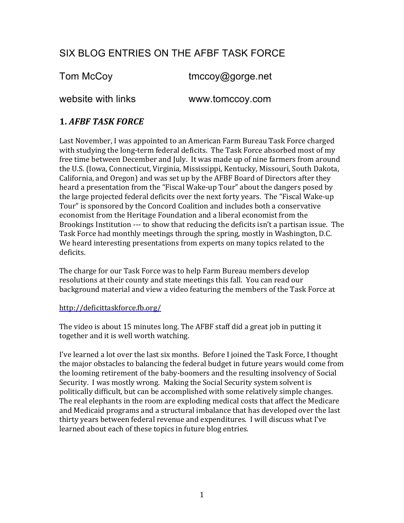# SIX BLOG ENTRIES ON THE AFBF TASK FORCE

Tom McCoy tmccoy@gorge.net website with links www.tomccoy.com

### **1. AFBF TASK FORCE**

Last November, I was appointed to an American Farm Bureau Task Force charged with studying the long-term federal deficits. The Task Force absorbed most of my free time between December and July. It was made up of nine farmers from around the U.S. (Iowa, Connecticut, Virginia, Mississippi, Kentucky, Missouri, South Dakota, California, and Oregon) and was set up by the AFBF Board of Directors after they heard a presentation from the "Fiscal Wake-up Tour" about the dangers posed by the large projected federal deficits over the next forty years. The "Fiscal Wake-up" Tour" is sponsored by the Concord Coalition and includes both a conservative economist from the Heritage Foundation and a liberal economist from the Brookings Institution --- to show that reducing the deficits isn't a partisan issue. The Task Force had monthly meetings through the spring, mostly in Washington, D.C. We heard interesting presentations from experts on many topics related to the deficits.

The charge for our Task Force was to help Farm Bureau members develop resolutions at their county and state meetings this fall. You can read our background material and view a video featuring the members of the Task Force at

#### http://deficittaskforce.fb.org/

The video is about 15 minutes long. The AFBF staff did a great job in putting it together and it is well worth watching.

I've learned a lot over the last six months. Before I joined the Task Force, I thought the major obstacles to balancing the federal budget in future vears would come from the looming retirement of the baby-boomers and the resulting insolvency of Social Security. I was mostly wrong. Making the Social Security system solvent is politically difficult, but can be accomplished with some relatively simple changes. The real elephants in the room are exploding medical costs that affect the Medicare and Medicaid programs and a structural imbalance that has developed over the last thirty years between federal revenue and expenditures. I will discuss what I've learned about each of these topics in future blog entries.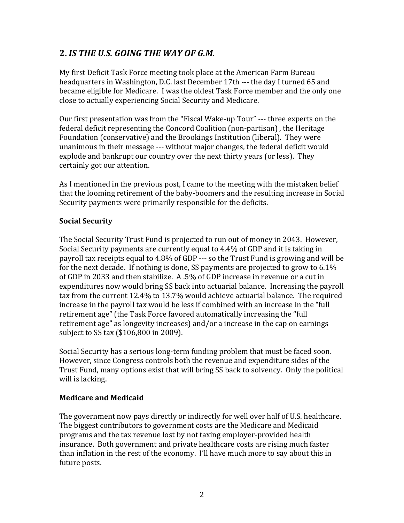## **2. IS THE U.S. GOING THE WAY OF G.M.**

My first Deficit Task Force meeting took place at the American Farm Bureau headquarters in Washington, D.C. last December 17th --- the day I turned 65 and became eligible for Medicare. I was the oldest Task Force member and the only one close to actually experiencing Social Security and Medicare.

Our first presentation was from the "Fiscal Wake-up Tour" --- three experts on the federal deficit representing the Concord Coalition (non-partisan), the Heritage Foundation (conservative) and the Brookings Institution (liberal). They were unanimous in their message --- without major changes, the federal deficit would explode and bankrupt our country over the next thirty years (or less). They certainly got our attention.

As I mentioned in the previous post, I came to the meeting with the mistaken belief that the looming retirement of the baby-boomers and the resulting increase in Social Security payments were primarily responsible for the deficits.

### **Social Security**

The Social Security Trust Fund is projected to run out of money in 2043. However, Social Security payments are currently equal to 4.4% of GDP and it is taking in payroll tax receipts equal to 4.8% of GDP --- so the Trust Fund is growing and will be for the next decade. If nothing is done, SS payments are projected to grow to  $6.1\%$ of GDP in 2033 and then stabilize.  $A.5%$  of GDP increase in revenue or a cut in expenditures now would bring SS back into actuarial balance. Increasing the payroll tax from the current 12.4% to 13.7% would achieve actuarial balance. The required increase in the payroll tax would be less if combined with an increase in the "full" retirement age" (the Task Force favored automatically increasing the "full" retirement age" as longevity increases) and/or a increase in the cap on earnings subject to SS tax (\$106,800 in 2009).

Social Security has a serious long-term funding problem that must be faced soon. However, since Congress controls both the revenue and expenditure sides of the Trust Fund, many options exist that will bring SS back to solvency. Only the political will is lacking.

### **Medicare and Medicaid**

The government now pays directly or indirectly for well over half of U.S. healthcare. The biggest contributors to government costs are the Medicare and Medicaid programs and the tax revenue lost by not taxing employer-provided health insurance. Both government and private healthcare costs are rising much faster than inflation in the rest of the economy. I'll have much more to say about this in future posts.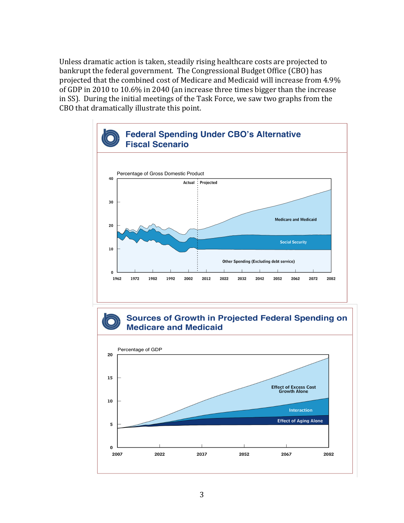Unless dramatic action is taken, steadily rising healthcare costs are projected to bankrupt the federal government. The Congressional Budget Office (CBO) has projected that the combined cost of Medicare and Medicaid will increase from 4.9% of GDP in 2010 to 10.6% in 2040 (an increase three times bigger than the increase in SS). During the initial meetings of the Task Force, we saw two graphs from the CBO that dramatically illustrate this point.





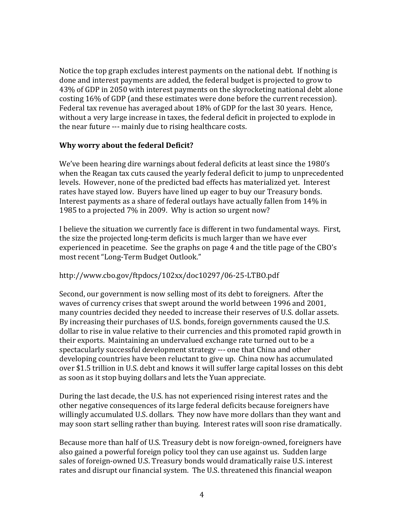Notice the top graph excludes interest payments on the national debt. If nothing is done and interest payments are added, the federal budget is projected to grow to 43% of GDP in 2050 with interest payments on the skyrocketing national debt alone costing 16% of GDP (and these estimates were done before the current recession). Federal tax revenue has averaged about 18% of GDP for the last 30 years. Hence, without a very large increase in taxes, the federal deficit in projected to explode in the near future --- mainly due to rising healthcare costs.

### **Why worry about the federal Deficit?**

We've been hearing dire warnings about federal deficits at least since the 1980's when the Reagan tax cuts caused the yearly federal deficit to jump to unprecedented levels. However, none of the predicted bad effects has materialized yet. Interest rates have stayed low. Buyers have lined up eager to buy our Treasury bonds. Interest payments as a share of federal outlays have actually fallen from 14% in 1985 to a projected 7% in 2009. Why is action so urgent now?

I believe the situation we currently face is different in two fundamental ways. First, the size the projected long-term deficits is much larger than we have ever experienced in peacetime. See the graphs on page 4 and the title page of the CBO's most recent "Long-Term Budget Outlook."

### http://www.cbo.gov/ftpdocs/102xx/doc10297/06-25-LTBO.pdf

Second, our government is now selling most of its debt to foreigners. After the waves of currency crises that swept around the world between 1996 and 2001, many countries decided they needed to increase their reserves of U.S. dollar assets. By increasing their purchases of U.S. bonds, foreign governments caused the U.S. dollar to rise in value relative to their currencies and this promoted rapid growth in their exports. Maintaining an undervalued exchange rate turned out to be a spectacularly successful development strategy --- one that China and other developing countries have been reluctant to give up. China now has accumulated over \$1.5 trillion in U.S. debt and knows it will suffer large capital losses on this debt as soon as it stop buying dollars and lets the Yuan appreciate.

During the last decade, the U.S. has not experienced rising interest rates and the other negative consequences of its large federal deficits because foreigners have willingly accumulated U.S. dollars. They now have more dollars than they want and may soon start selling rather than buying. Interest rates will soon rise dramatically.

Because more than half of U.S. Treasury debt is now foreign-owned, foreigners have also gained a powerful foreign policy tool they can use against us. Sudden large sales of foreign-owned U.S. Treasury bonds would dramatically raise U.S. interest rates and disrupt our financial system. The U.S. threatened this financial weapon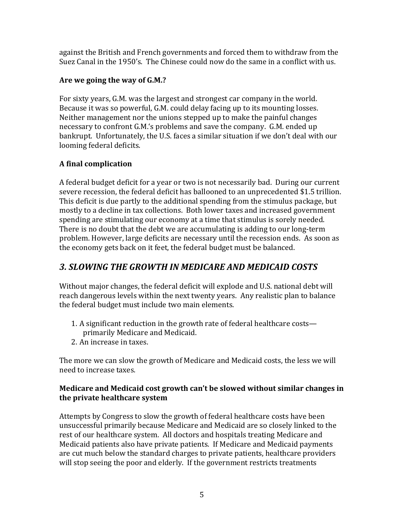against the British and French governments and forced them to withdraw from the Suez Canal in the 1950's. The Chinese could now do the same in a conflict with us.

### Are we going the way of G.M.?

For sixty years, G.M. was the largest and strongest car company in the world. Because it was so powerful, G.M. could delay facing up to its mounting losses. Neither management nor the unions stepped up to make the painful changes necessary to confront G.M.'s problems and save the company. G.M. ended up bankrupt. Unfortunately, the U.S. faces a similar situation if we don't deal with our looming federal deficits.

### **A** final complication

A federal budget deficit for a year or two is not necessarily bad. During our current severe recession, the federal deficit has ballooned to an unprecedented \$1.5 trillion. This deficit is due partly to the additional spending from the stimulus package, but mostly to a decline in tax collections. Both lower taxes and increased government spending are stimulating our economy at a time that stimulus is sorely needed. There is no doubt that the debt we are accumulating is adding to our long-term problem. However, large deficits are necessary until the recession ends. As soon as the economy gets back on it feet, the federal budget must be balanced.

## *3.\$SLOWING\$THE\$GROWTH\$IN\$MEDICARE\$AND\$MEDICAID\$COSTS*

Without major changes, the federal deficit will explode and U.S. national debt will reach dangerous levels within the next twenty years. Any realistic plan to balance the federal budget must include two main elements.

- 1. A significant reduction in the growth rate of federal healthcare costs primarily Medicare and Medicaid.
- 2. An increase in taxes.

The more we can slow the growth of Medicare and Medicaid costs, the less we will need to increase taxes.

### **Medicare and Medicaid cost growth can't be slowed without similar changes in** the private healthcare system

Attempts by Congress to slow the growth of federal healthcare costs have been unsuccessful primarily because Medicare and Medicaid are so closely linked to the rest of our healthcare system. All doctors and hospitals treating Medicare and Medicaid patients also have private patients. If Medicare and Medicaid payments are cut much below the standard charges to private patients, healthcare providers will stop seeing the poor and elderly. If the government restricts treatments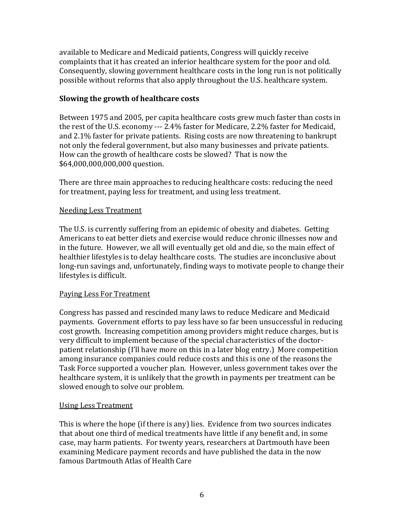available to Medicare and Medicaid patients, Congress will quickly receive complaints that it has created an inferior healthcare system for the poor and old. Consequently, slowing government healthcare costs in the long run is not politically possible without reforms that also apply throughout the U.S. healthcare system.

### **Slowing the growth of healthcare costs**

Between 1975 and 2005, per capita healthcare costs grew much faster than costs in the rest of the U.S. economy  $--$  2.4% faster for Medicare, 2.2% faster for Medicaid, and 2.1% faster for private patients. Rising costs are now threatening to bankrupt not only the federal government, but also many businesses and private patients. How can the growth of healthcare costs be slowed? That is now the \$64,000,000,000,000 question.

There are three main approaches to reducing healthcare costs: reducing the need for treatment, paying less for treatment, and using less treatment.

### Needing Less Treatment

The U.S. is currently suffering from an epidemic of obesity and diabetes. Getting Americans to eat better diets and exercise would reduce chronic illnesses now and in the future. However, we all will eventually get old and die, so the main effect of healthier lifestyles is to delay healthcare costs. The studies are inconclusive about long-run savings and, unfortunately, finding ways to motivate people to change their lifestyles is difficult.

### Paying Less For Treatment

Congress has passed and rescinded many laws to reduce Medicare and Medicaid payments. Government efforts to pay less have so far been unsuccessful in reducing cost growth. Increasing competition among providers might reduce charges, but is very difficult to implement because of the special characteristics of the doctorpatient relationship (I'll have more on this in a later blog entry.) More competition among insurance companies could reduce costs and this is one of the reasons the Task Force supported a voucher plan. However, unless government takes over the healthcare system, it is unlikely that the growth in payments per treatment can be slowed enough to solve our problem.

### Using Less Treatment

This is where the hope (if there is any) lies. Evidence from two sources indicates that about one third of medical treatments have little if any benefit and, in some case, may harm patients. For twenty years, researchers at Dartmouth have been examining Medicare payment records and have published the data in the now famous Dartmouth Atlas of Health Care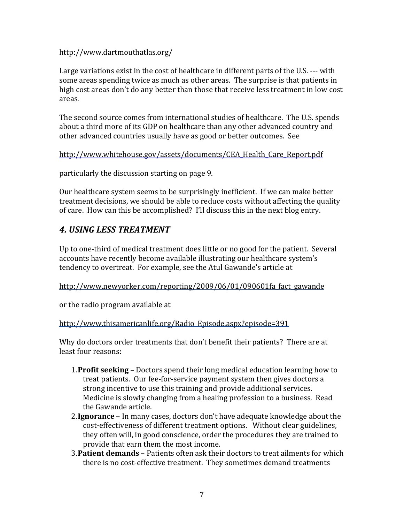http://www.dartmouthatlas.org/

Large variations exist in the cost of healthcare in different parts of the U.S. --- with some areas spending twice as much as other areas. The surprise is that patients in high cost areas don't do any better than those that receive less treatment in low cost areas.

The second source comes from international studies of healthcare. The U.S. spends about a third more of its GDP on healthcare than any other advanced country and other advanced countries usually have as good or better outcomes. See

http://www.whitehouse.gov/assets/documents/CEA\_Health\_Care\_Report.pdf

particularly the discussion starting on page 9.

Our healthcare system seems to be surprisingly inefficient. If we can make better treatment decisions, we should be able to reduce costs without affecting the quality of care. How can this be accomplished? I'll discuss this in the next blog entry.

## **4. USING LESS TREATMENT**

Up to one-third of medical treatment does little or no good for the patient. Several accounts have recently become available illustrating our healthcare system's tendency to overtreat. For example, see the Atul Gawande's article at

http://www.newyorker.com/reporting/2009/06/01/090601fa\_fact\_gawande

or the radio program available at

http://www.thisamericanlife.org/Radio\_Episode.aspx?episode=391

Why do doctors order treatments that don't benefit their patients? There are at least four reasons:

- 1. **Profit seeking** Doctors spend their long medical education learning how to treat patients. Our fee-for-service payment system then gives doctors a strong incentive to use this training and provide additional services. Medicine is slowly changing from a healing profession to a business. Read the Gawande article.
- 2. **Ignorance** In many cases, doctors don't have adequate knowledge about the cost-effectiveness of different treatment options. Without clear guidelines, they often will, in good conscience, order the procedures they are trained to provide that earn them the most income.
- 3. **Patient demands** Patients often ask their doctors to treat ailments for which there is no cost-effective treatment. They sometimes demand treatments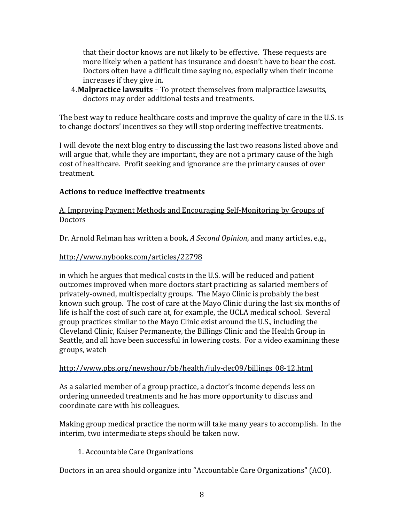that their doctor knows are not likely to be effective. These requests are more likely when a patient has insurance and doesn't have to bear the cost. Doctors often have a difficult time saying no, especially when their income increases if they give in.

4. **Malpractice lawsuits** – To protect themselves from malpractice lawsuits, doctors may order additional tests and treatments.

The best way to reduce healthcare costs and improve the quality of care in the U.S. is to change doctors' incentives so they will stop ordering ineffective treatments.

I will devote the next blog entry to discussing the last two reasons listed above and will argue that, while they are important, they are not a primary cause of the high cost of healthcare. Profit seeking and ignorance are the primary causes of over treatment.

### Actions to reduce ineffective treatments

### A. Improving Payment Methods and Encouraging Self-Monitoring by Groups of **Doctors**

Dr. Arnold Relman has written a book, *A Second Opinion*, and many articles, e.g.,

### http://www.nybooks.com/articles/22798

in which he argues that medical costs in the U.S. will be reduced and patient outcomes improved when more doctors start practicing as salaried members of privately-owned, multispecialty groups. The Mayo Clinic is probably the best known such group. The cost of care at the Mayo Clinic during the last six months of life is half the cost of such care at, for example, the UCLA medical school. Several group practices similar to the Mayo Clinic exist around the U.S., including the Cleveland Clinic, Kaiser Permanente, the Billings Clinic and the Health Group in Seattle, and all have been successful in lowering costs. For a video examining these groups, watch

### http://www.pbs.org/newshour/bb/health/july-dec09/billings\_08-12.html

As a salaried member of a group practice, a doctor's income depends less on ordering unneeded treatments and he has more opportunity to discuss and coordinate care with his colleagues.

Making group medical practice the norm will take many years to accomplish. In the interim, two intermediate steps should be taken now.

### 1. Accountable Care Organizations

Doctors in an area should organize into "Accountable Care Organizations" (ACO).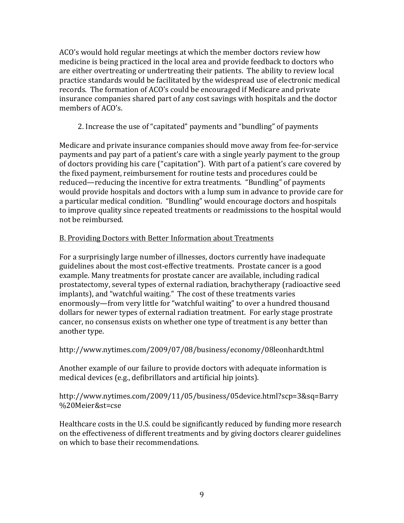ACO's would hold regular meetings at which the member doctors review how medicine is being practiced in the local area and provide feedback to doctors who are either overtreating or undertreating their patients. The ability to review local practice standards would be facilitated by the widespread use of electronic medical records. The formation of ACO's could be encouraged if Medicare and private insurance companies shared part of any cost savings with hospitals and the doctor members of ACO's.

2. Increase the use of "capitated" payments and "bundling" of payments

Medicare and private insurance companies should move away from fee-for-service payments and pay part of a patient's care with a single yearly payment to the group of doctors providing his care ("capitation"). With part of a patient's care covered by the fixed payment, reimbursement for routine tests and procedures could be reduced—reducing the incentive for extra treatments. "Bundling" of payments would provide hospitals and doctors with a lump sum in advance to provide care for a particular medical condition. "Bundling" would encourage doctors and hospitals to improve quality since repeated treatments or readmissions to the hospital would not be reimbursed.

### B. Providing Doctors with Better Information about Treatments

For a surprisingly large number of illnesses, doctors currently have inadequate guidelines about the most cost-effective treatments. Prostate cancer is a good example. Many treatments for prostate cancer are available, including radical prostatectomy, several types of external radiation, brachytherapy (radioactive seed implants), and "watchful waiting." The cost of these treatments varies enormously—from very little for "watchful waiting" to over a hundred thousand dollars for newer types of external radiation treatment. For early stage prostrate cancer, no consensus exists on whether one type of treatment is any better than another type.

http://www.nytimes.com/2009/07/08/business/economy/08leonhardt.html

Another example of our failure to provide doctors with adequate information is medical devices (e.g., defibrillators and artificial hip joints).

http://www.nytimes.com/2009/11/05/business/05device.html?scp=3&sq=Barry %20Meier&st=cse

Healthcare costs in the U.S. could be significantly reduced by funding more research on the effectiveness of different treatments and by giving doctors clearer guidelines on which to base their recommendations.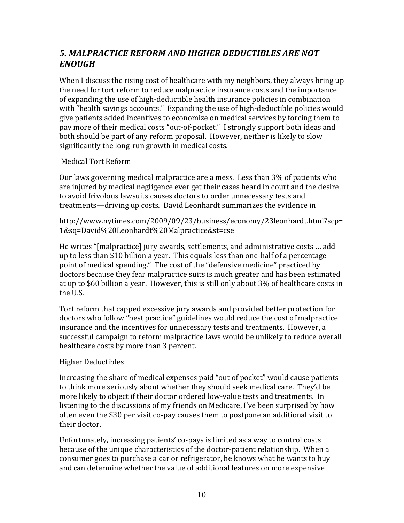## 5. MALPRACTICE REFORM AND HIGHER DEDUCTIBLES ARE NOT *ENOUGH*

When I discuss the rising cost of healthcare with my neighbors, they always bring up the need for tort reform to reduce malpractice insurance costs and the importance of expanding the use of high-deductible health insurance policies in combination with "health savings accounts." Expanding the use of high-deductible policies would give patients added incentives to economize on medical services by forcing them to pay more of their medical costs "out-of-pocket." I strongly support both ideas and both should be part of any reform proposal. However, neither is likely to slow significantly the long-run growth in medical costs.

### Medical Tort Reform

Our laws governing medical malpractice are a mess. Less than 3% of patients who are injured by medical negligence ever get their cases heard in court and the desire to avoid frivolous lawsuits causes doctors to order unnecessary tests and treatments—driving up costs. David Leonhardt summarizes the evidence in

http://www.nytimes.com/2009/09/23/business/economy/23leonhardt.html?scp= 1&sq=David%20Leonhardt%20Malpractice&st=cse

He writes "[malpractice] jury awards, settlements, and administrative costs ... add up to less than \$10 billion a year. This equals less than one-half of a percentage point of medical spending." The cost of the "defensive medicine" practiced by doctors because they fear malpractice suits is much greater and has been estimated at up to \$60 billion a year. However, this is still only about 3% of healthcare costs in the U.S.

Tort reform that capped excessive jury awards and provided better protection for doctors who follow "best practice" guidelines would reduce the cost of malpractice insurance and the incentives for unnecessary tests and treatments. However, a successful campaign to reform malpractice laws would be unlikely to reduce overall healthcare costs by more than 3 percent.

### Higher Deductibles

Increasing the share of medical expenses paid "out of pocket" would cause patients to think more seriously about whether they should seek medical care. They'd be more likely to object if their doctor ordered low-value tests and treatments. In listening to the discussions of my friends on Medicare, I've been surprised by how often even the \$30 per visit co-pay causes them to postpone an additional visit to their doctor.

Unfortunately, increasing patients' co-pays is limited as a way to control costs because of the unique characteristics of the doctor-patient relationship. When a consumer goes to purchase a car or refrigerator, he knows what he wants to buy and can determine whether the value of additional features on more expensive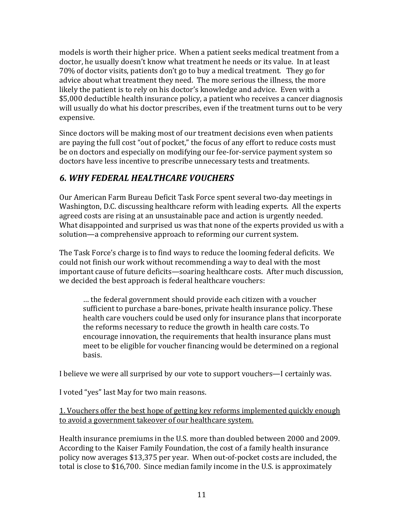models is worth their higher price. When a patient seeks medical treatment from a doctor, he usually doesn't know what treatment he needs or its value. In at least 70% of doctor visits, patients don't go to buy a medical treatment. They go for advice about what treatment they need. The more serious the illness, the more likely the patient is to rely on his doctor's knowledge and advice. Even with a \$5,000 deductible health insurance policy, a patient who receives a cancer diagnosis will usually do what his doctor prescribes, even if the treatment turns out to be very expensive.

Since doctors will be making most of our treatment decisions even when patients are paying the full cost "out of pocket," the focus of any effort to reduce costs must be on doctors and especially on modifying our fee-for-service payment system so doctors have less incentive to prescribe unnecessary tests and treatments.

## *6.\$WHY\$FEDERAL\$HEALTHCARE\$VOUCHERS*

Our American Farm Bureau Deficit Task Force spent several two-day meetings in Washington, D.C. discussing healthcare reform with leading experts. All the experts agreed costs are rising at an unsustainable pace and action is urgently needed. What disappointed and surprised us was that none of the experts provided us with a solution—a comprehensive approach to reforming our current system.

The Task Force's charge is to find ways to reduce the looming federal deficits. We could not finish our work without recommending a way to deal with the most important cause of future deficits—soaring healthcare costs. After much discussion, we decided the best approach is federal healthcare vouchers:

... the federal government should provide each citizen with a voucher. sufficient to purchase a bare-bones, private health insurance policy. These health care vouchers could be used only for insurance plans that incorporate the reforms necessary to reduce the growth in health care costs. To encourage innovation, the requirements that health insurance plans must meet to be eligible for voucher financing would be determined on a regional basis.

I believe we were all surprised by our vote to support vouchers—I certainly was.

I voted "yes" last May for two main reasons.

### 1. Vouchers offer the best hope of getting key reforms implemented quickly enough to avoid a government takeover of our healthcare system.

Health insurance premiums in the U.S. more than doubled between 2000 and 2009. According to the Kaiser Family Foundation, the cost of a family health insurance policy now averages \$13,375 per year. When out-of-pocket costs are included, the total is close to  $$16,700$ . Since median family income in the U.S. is approximately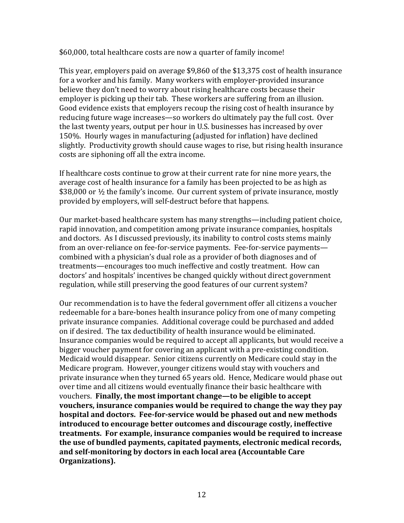#### \$60,000, total healthcare costs are now a quarter of family income!

This year, employers paid on average \$9,860 of the \$13,375 cost of health insurance for a worker and his family. Many workers with employer-provided insurance believe they don't need to worry about rising healthcare costs because their employer is picking up their tab. These workers are suffering from an illusion. Good evidence exists that employers recoup the rising cost of health insurance by reducing future wage increases—so workers do ultimately pay the full cost. Over the last twenty years, output per hour in U.S. businesses has increased by over 150%. Hourly wages in manufacturing (adjusted for inflation) have declined slightly. Productivity growth should cause wages to rise, but rising health insurance costs are siphoning off all the extra income.

If healthcare costs continue to grow at their current rate for nine more years, the average cost of health insurance for a family has been projected to be as high as \$38,000 or  $\frac{1}{2}$  the family's income. Our current system of private insurance, mostly provided by employers, will self-destruct before that happens.

Our market-based healthcare system has many strengths—including patient choice, rapid innovation, and competition among private insurance companies, hospitals and doctors. As I discussed previously, its inability to control costs stems mainly from an over-reliance on fee-for-service payments. Fee-for-service payments combined with a physician's dual role as a provider of both diagnoses and of treatments—encourages too much ineffective and costly treatment. How can doctors' and hospitals' incentives be changed quickly without direct government regulation, while still preserving the good features of our current system?

Our recommendation is to have the federal government offer all citizens a voucher redeemable for a bare-bones health insurance policy from one of many competing private insurance companies. Additional coverage could be purchased and added on if desired. The tax deductibility of health insurance would be eliminated. Insurance companies would be required to accept all applicants, but would receive a bigger voucher payment for covering an applicant with a pre-existing condition. Medicaid would disappear. Senior citizens currently on Medicare could stay in the Medicare program. However, younger citizens would stay with vouchers and private insurance when they turned 65 years old. Hence, Medicare would phase out over time and all citizens would eventually finance their basic healthcare with vouchers. **Finally, the most important change—to be eligible to accept** vouchers, insurance companies would be required to change the way they pay hospital and doctors. Fee-for-service would be phased out and new methods **introduced to encourage better outcomes and discourage costly, ineffective** treatments. For example, insurance companies would be required to increase the use of bundled payments, capitated payments, electronic medical records, and self-monitoring by doctors in each local area (Accountable Care **Organizations).**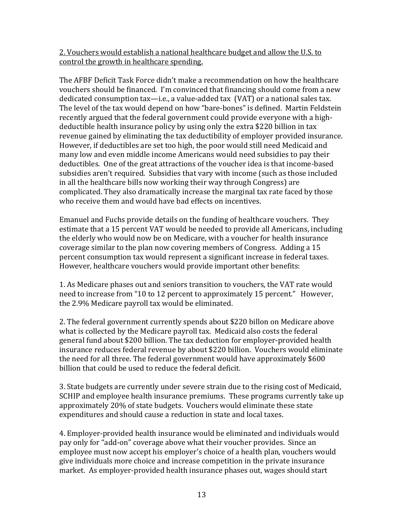### 2. Vouchers would establish a national healthcare budget and allow the U.S. to control the growth in healthcare spending.

The AFBF Deficit Task Force didn't make a recommendation on how the healthcare vouchers should be financed. I'm convinced that financing should come from a new dedicated consumption  $tax$ —i.e., a value-added tax  $(VAT)$  or a national sales tax. The level of the tax would depend on how "bare-bones" is defined. Martin Feldstein recently argued that the federal government could provide everyone with a highdeductible health insurance policy by using only the extra \$220 billion in tax revenue gained by eliminating the tax deductibility of employer provided insurance. However, if deductibles are set too high, the poor would still need Medicaid and many low and even middle income Americans would need subsidies to pay their deductibles. One of the great attractions of the voucher idea is that income-based subsidies aren't required. Subsidies that vary with income (such as those included in all the healthcare bills now working their way through Congress) are complicated. They also dramatically increase the marginal tax rate faced by those who receive them and would have bad effects on incentives.

Emanuel and Fuchs provide details on the funding of healthcare vouchers. They estimate that a 15 percent VAT would be needed to provide all Americans, including the elderly who would now be on Medicare, with a voucher for health insurance coverage similar to the plan now covering members of Congress. Adding a 15 percent consumption tax would represent a significant increase in federal taxes. However, healthcare vouchers would provide important other benefits:

1. As Medicare phases out and seniors transition to vouchers, the VAT rate would need to increase from "10 to 12 percent to approximately 15 percent." However, the 2.9% Medicare payroll tax would be eliminated.

2. The federal government currently spends about \$220 billon on Medicare above what is collected by the Medicare payroll tax. Medicaid also costs the federal general fund about \$200 billion. The tax deduction for employer-provided health insurance reduces federal revenue by about \$220 billion. Vouchers would eliminate the need for all three. The federal government would have approximately \$600 billion that could be used to reduce the federal deficit.

3. State budgets are currently under severe strain due to the rising cost of Medicaid, SCHIP and employee health insurance premiums. These programs currently take up approximately 20% of state budgets. Vouchers would eliminate these state expenditures and should cause a reduction in state and local taxes.

4. Employer-provided health insurance would be eliminated and individuals would pay only for "add-on" coverage above what their voucher provides. Since an employee must now accept his employer's choice of a health plan, vouchers would give individuals more choice and increase competition in the private insurance market. As employer-provided health insurance phases out, wages should start